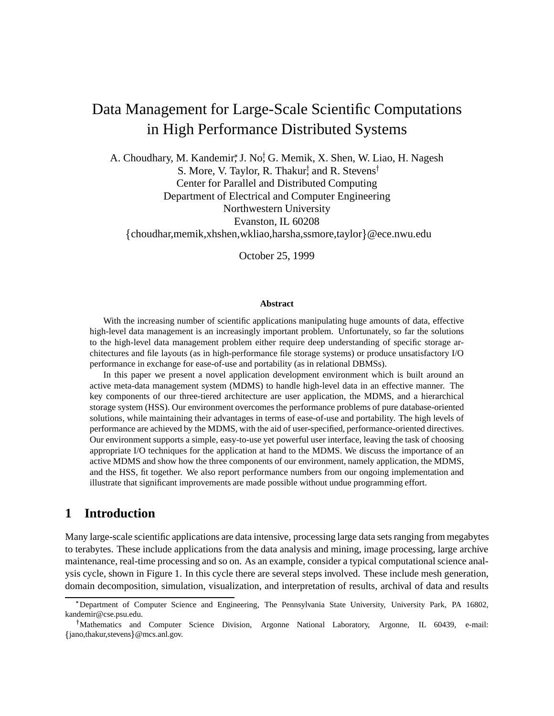# Data Management for Large-Scale Scientific Computations in High Performance Distributed Systems

A. Choudhary, M. Kandemir,\* J. No<sup>†</sup> G. Memik, X. Shen, W. Liao, H. Nagesh S. More, V. Taylor, R. Thakur<sup>†</sup> and R. Stevens<sup>†</sup> Center for Parallel and Distributed Computing Department of Electrical and Computer Engineering Northwestern University Evanston, IL 60208 - choudhar,memik,xhshen,wkliao,harsha,ssmore,taylor @ece.nwu.edu

October 25, 1999

#### **Abstract**

With the increasing number of scientific applications manipulating huge amounts of data, effective high-level data management is an increasingly important problem. Unfortunately, so far the solutions to the high-level data management problem either require deep understanding of specific storage architectures and file layouts (as in high-performance file storage systems) or produce unsatisfactory I/O performance in exchange for ease-of-use and portability (as in relational DBMSs).

In this paper we present a novel application development environment which is built around an active meta-data management system (MDMS) to handle high-level data in an effective manner. The key components of our three-tiered architecture are user application, the MDMS, and a hierarchical storage system (HSS). Our environment overcomes the performance problems of pure database-oriented solutions, while maintaining their advantages in terms of ease-of-use and portability. The high levels of performance are achieved by the MDMS, with the aid of user-specified, performance-oriented directives. Our environment supports a simple, easy-to-use yet powerful user interface, leaving the task of choosing appropriate I/O techniques for the application at hand to the MDMS. We discuss the importance of an active MDMS and show how the three components of our environment, namely application, the MDMS, and the HSS, fit together. We also report performance numbers from our ongoing implementation and illustrate that significant improvements are made possible without undue programming effort.

## **1 Introduction**

Many large-scale scientific applications are data intensive, processing large data setsranging from megabytes to terabytes. These include applications from the data analysis and mining, image processing, large archive maintenance, real-time processing and so on. As an example, consider a typical computational science analysis cycle, shown in Figure 1. In this cycle there are several steps involved. These include mesh generation, domain decomposition, simulation, visualization, and interpretation of results, archival of data and results

<sup>&</sup>lt;sup>\*</sup>Department of Computer Science and Engineering, The Pennsylvania State University, University Park, PA 16802, kandemir@cse.psu.edu.

<sup>&</sup>lt;sup>†</sup>Mathematics and Computer Science Division, Argonne National Laboratory, Argonne, IL 60439, e-mail: jano,thakur,stevens @mcs.anl.gov.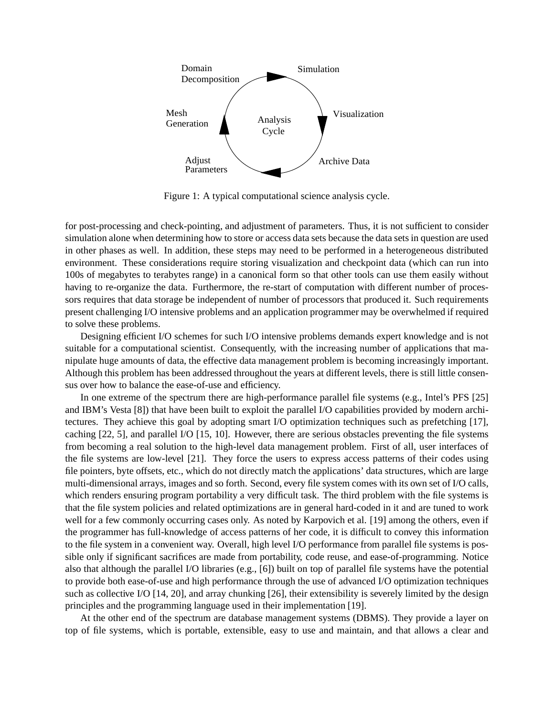

Figure 1: A typical computational science analysis cycle.

for post-processing and check-pointing, and adjustment of parameters. Thus, it is not sufficient to consider simulation alone when determining how to store or access data sets because the data sets in question are used in other phases as well. In addition, these steps may need to be performed in a heterogeneous distributed environment. These considerations require storing visualization and checkpoint data (which can run into 100s of megabytes to terabytes range) in a canonical form so that other tools can use them easily without having to re-organize the data. Furthermore, the re-start of computation with different number of processors requires that data storage be independent of number of processors that produced it. Such requirements present challenging I/O intensive problems and an application programmer may be overwhelmed if required to solve these problems.

Designing efficient I/O schemes for such I/O intensive problems demands expert knowledge and is not suitable for a computational scientist. Consequently, with the increasing number of applications that manipulate huge amounts of data, the effective data management problem is becoming increasingly important. Although this problem has been addressed throughout the years at different levels, there is still little consensus over how to balance the ease-of-use and efficiency.

In one extreme of the spectrum there are high-performance parallel file systems (e.g., Intel's PFS [25] and IBM's Vesta [8]) that have been built to exploit the parallel I/O capabilities provided by modern architectures. They achieve this goal by adopting smart I/O optimization techniques such as prefetching [17], caching [22, 5], and parallel I/O [15, 10]. However, there are serious obstacles preventing the file systems from becoming a real solution to the high-level data management problem. First of all, user interfaces of the file systems are low-level [21]. They force the users to express access patterns of their codes using file pointers, byte offsets, etc., which do not directly match the applications' data structures, which are large multi-dimensional arrays, images and so forth. Second, every file system comes with its own set of I/O calls, which renders ensuring program portability a very difficult task. The third problem with the file systems is that the file system policies and related optimizations are in general hard-coded in it and are tuned to work well for a few commonly occurring cases only. As noted by Karpovich et al. [19] among the others, even if the programmer has full-knowledge of access patterns of her code, it is difficult to convey this information to the file system in a convenient way. Overall, high level I/O performance from parallel file systems is possible only if significant sacrifices are made from portability, code reuse, and ease-of-programming. Notice also that although the parallel I/O libraries (e.g., [6]) built on top of parallel file systems have the potential to provide both ease-of-use and high performance through the use of advanced I/O optimization techniques such as collective I/O [14, 20], and array chunking [26], their extensibility is severely limited by the design principles and the programming language used in their implementation [19].

At the other end of the spectrum are database management systems (DBMS). They provide a layer on top of file systems, which is portable, extensible, easy to use and maintain, and that allows a clear and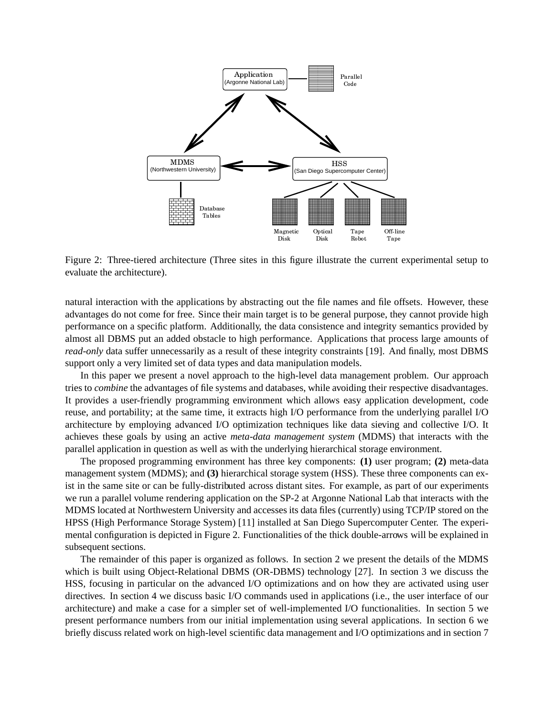

Figure 2: Three-tiered architecture (Three sites in this figure illustrate the current experimental setup to evaluate the architecture).

natural interaction with the applications by abstracting out the file names and file offsets. However, these advantages do not come for free. Since their main target is to be general purpose, they cannot provide high performance on a specific platform. Additionally, the data consistence and integrity semantics provided by almost all DBMS put an added obstacle to high performance. Applications that process large amounts of *read-only* data suffer unnecessarily as a result of these integrity constraints [19]. And finally, most DBMS support only a very limited set of data types and data manipulation models.

In this paper we present a novel approach to the high-level data management problem. Our approach tries to *combine* the advantages of file systems and databases, while avoiding their respective disadvantages. It provides a user-friendly programming environment which allows easy application development, code reuse, and portability; at the same time, it extracts high I/O performance from the underlying parallel I/O architecture by employing advanced I/O optimization techniques like data sieving and collective I/O. It achieves these goals by using an active *meta-data management system* (MDMS) that interacts with the parallel application in question as well as with the underlying hierarchical storage environment.

The proposed programming environment has three key components: **(1)** user program; **(2)** meta-data management system (MDMS); and **(3)** hierarchical storage system (HSS). These three components can exist in the same site or can be fully-distributed across distant sites. For example, as part of our experiments we run a parallel volume rendering application on the SP-2 at Argonne National Lab that interacts with the MDMS located at Northwestern University and accesses its data files (currently) using TCP/IP stored on the HPSS (High Performance Storage System) [11] installed at San Diego Supercomputer Center. The experimental configuration is depicted in Figure 2. Functionalities of the thick double-arrows will be explained in subsequent sections.

The remainder of this paper is organized as follows. In section 2 we present the details of the MDMS which is built using Object-Relational DBMS (OR-DBMS) technology [27]. In section 3 we discuss the HSS, focusing in particular on the advanced I/O optimizations and on how they are activated using user directives. In section 4 we discuss basic I/O commands used in applications (i.e., the user interface of our architecture) and make a case for a simpler set of well-implemented I/O functionalities. In section 5 we present performance numbers from our initial implementation using several applications. In section 6 we briefly discuss related work on high-level scientific data management and I/O optimizations and in section 7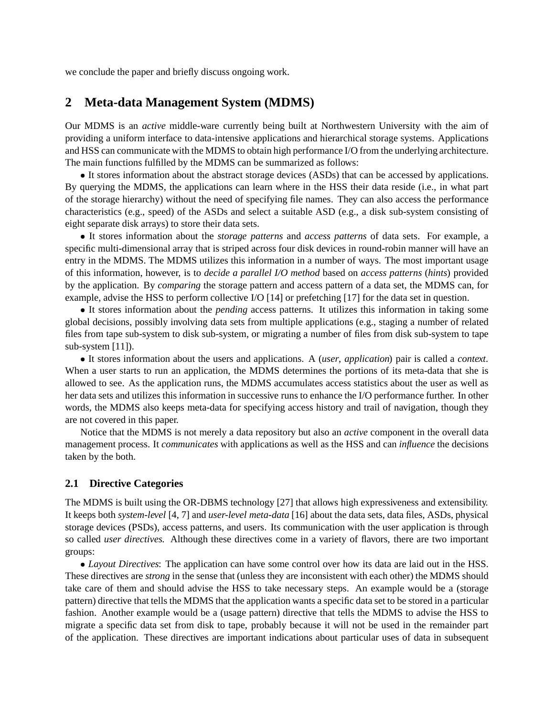we conclude the paper and briefly discuss ongoing work.

## **2 Meta-data Management System (MDMS)**

Our MDMS is an *active* middle-ware currently being built at Northwestern University with the aim of providing a uniform interface to data-intensive applications and hierarchical storage systems. Applications and HSS can communicate with the MDMS to obtain high performance I/O from the underlying architecture. The main functions fulfilled by the MDMS can be summarized as follows:

^ It stores information about the abstract storage devices (ASDs) that can be accessed by applications. By querying the MDMS, the applications can learn where in the HSS their data reside (i.e., in what part of the storage hierarchy) without the need of specifying file names. They can also access the performance characteristics (e.g., speed) of the ASDs and select a suitable ASD (e.g., a disk sub-system consisting of eight separate disk arrays) to store their data sets.

^ It stores information about the *storage patterns* and *access patterns* of data sets. For example, a specific multi-dimensional array that is striped across four disk devices in round-robin manner will have an entry in the MDMS. The MDMS utilizes this information in a number of ways. The most important usage of this information, however, is to *decide a parallel I/O method* based on *access patterns* (*hints*) provided by the application. By *comparing* the storage pattern and access pattern of a data set, the MDMS can, for example, advise the HSS to perform collective I/O [14] or prefetching [17] for the data set in question.

^ It stores information about the *pending* access patterns. It utilizes this information in taking some global decisions, possibly involving data sets from multiple applications (e.g., staging a number of related files from tape sub-system to disk sub-system, or migrating a number of files from disk sub-system to tape sub-system [11]).

^ It stores information about the users and applications. A (*user*, *application*) pair is called a *context*. When a user starts to run an application, the MDMS determines the portions of its meta-data that she is allowed to see. As the application runs, the MDMS accumulates access statistics about the user as well as her data sets and utilizes this information in successive runs to enhance the I/O performance further. In other words, the MDMS also keeps meta-data for specifying access history and trail of navigation, though they are not covered in this paper.

Notice that the MDMS is not merely a data repository but also an *active* component in the overall data management process. It *communicates* with applications as well as the HSS and can *influence* the decisions taken by the both.

#### **2.1 Directive Categories**

The MDMS is built using the OR-DBMS technology [27] that allows high expressiveness and extensibility. It keeps both *system-level* [4, 7] and *user-level meta-data* [16] about the data sets, data files, ASDs, physical storage devices (PSDs), access patterns, and users. Its communication with the user application is through so called *user directives*. Although these directives come in a variety of flavors, there are two important groups:

^ *Layout Directives*: The application can have some control over how its data are laid out in the HSS. These directives are *strong* in the sense that (unless they are inconsistent with each other) the MDMS should take care of them and should advise the HSS to take necessary steps. An example would be a (storage pattern) directive that tells the MDMS that the application wants a specific data set to be stored in a particular fashion. Another example would be a (usage pattern) directive that tells the MDMS to advise the HSS to migrate a specific data set from disk to tape, probably because it will not be used in the remainder part of the application. These directives are important indications about particular uses of data in subsequent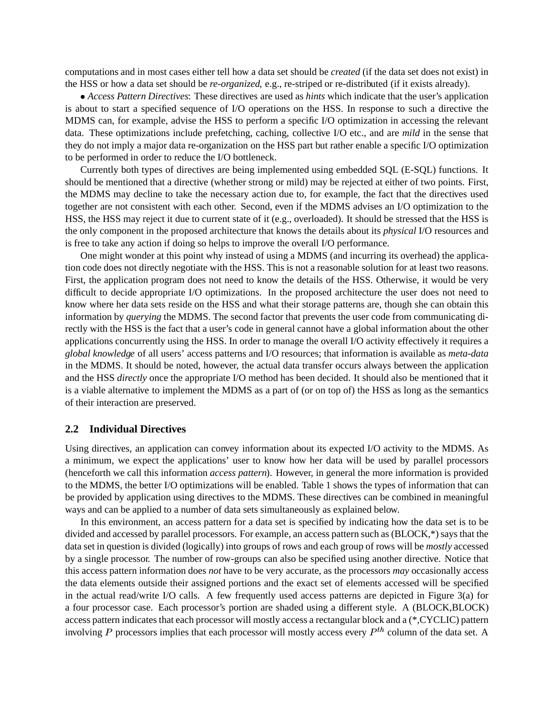computations and in most cases either tell how a data set should be *created* (if the data set does not exist) in the HSS or how a data set should be *re-organized*, e.g., re-striped or re-distributed (if it exists already).

^ *Access Pattern Directives*: These directives are used as *hints* which indicate that the user's application is about to start a specified sequence of I/O operations on the HSS. In response to such a directive the MDMS can, for example, advise the HSS to perform a specific I/O optimization in accessing the relevant data. These optimizations include prefetching, caching, collective I/O etc., and are *mild* in the sense that they do not imply a major data re-organization on the HSS part but rather enable a specific I/O optimization to be performed in order to reduce the I/O bottleneck.

Currently both types of directives are being implemented using embedded SQL (E-SQL) functions. It should be mentioned that a directive (whether strong or mild) may be rejected at either of two points. First, the MDMS may decline to take the necessary action due to, for example, the fact that the directives used together are not consistent with each other. Second, even if the MDMS advises an I/O optimization to the HSS, the HSS may reject it due to current state of it (e.g., overloaded). It should be stressed that the HSS is the only component in the proposed architecture that knows the details about its *physical* I/O resources and is free to take any action if doing so helps to improve the overall I/O performance.

One might wonder at this point why instead of using a MDMS (and incurring its overhead) the application code does not directly negotiate with the HSS. This is not a reasonable solution for at least two reasons. First, the application program does not need to know the details of the HSS. Otherwise, it would be very difficult to decide appropriate I/O optimizations. In the proposed architecture the user does not need to know where her data sets reside on the HSS and what their storage patterns are, though she can obtain this information by *querying* the MDMS. The second factor that prevents the user code from communicating directly with the HSS is the fact that a user's code in general cannot have a global information about the other applications concurrently using the HSS. In order to manage the overall I/O activity effectively it requires a *global knowledge* of all users' access patterns and I/O resources; that information is available as *meta-data* in the MDMS. It should be noted, however, the actual data transfer occurs always between the application and the HSS *directly* once the appropriate I/O method has been decided. It should also be mentioned that it is a viable alternative to implement the MDMS as a part of (or on top of) the HSS as long as the semantics of their interaction are preserved.

#### **2.2 Individual Directives**

Using directives, an application can convey information about its expected I/O activity to the MDMS. As a minimum, we expect the applications' user to know how her data will be used by parallel processors (henceforth we call this information *access pattern*). However, in general the more information is provided to the MDMS, the better I/O optimizations will be enabled. Table 1 shows the types of information that can be provided by application using directives to the MDMS. These directives can be combined in meaningful ways and can be applied to a number of data sets simultaneously as explained below.

In this environment, an access pattern for a data set is specified by indicating how the data set is to be divided and accessed by parallel processors. For example, an access pattern such as  $(BLOCK,*)$  says that the data set in question is divided (logically) into groups of rows and each group of rows will be *mostly* accessed by a single processor. The number of row-groups can also be specified using another directive. Notice that this access pattern information does *not* have to be very accurate, as the processors *may* occasionally access the data elements outside their assigned portions and the exact set of elements accessed will be specified in the actual read/write I/O calls. A few frequently used access patterns are depicted in Figure 3(a) for a four processor case. Each processor's portion are shaded using a different style. A (BLOCK,BLOCK) access pattern indicates that each processor will mostly access a rectangular block and a (\*,CYCLIC) pattern involving P processors implies that each processor will mostly access every  $P^{th}$  column of the data set. A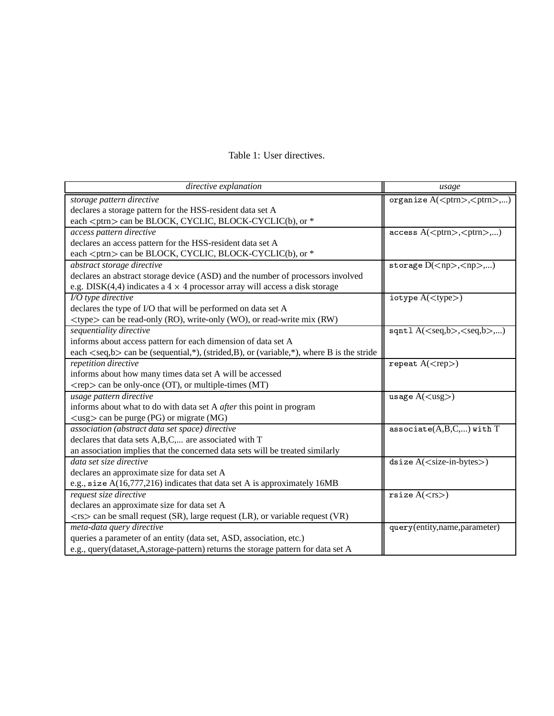## Table 1: User directives.

| directive explanation                                                                                    | usage                                                       |
|----------------------------------------------------------------------------------------------------------|-------------------------------------------------------------|
| storage pattern directive                                                                                | organize A( <ptrn>,<ptrn>,)</ptrn></ptrn>                   |
| declares a storage pattern for the HSS-resident data set A                                               |                                                             |
| each <ptrn> can be BLOCK, CYCLIC, BLOCK-CYCLIC(b), or *</ptrn>                                           |                                                             |
| access pattern directive                                                                                 | access A( <ptrn>, <ptrn>,)</ptrn></ptrn>                    |
| declares an access pattern for the HSS-resident data set A                                               |                                                             |
| each <ptrn> can be BLOCK, CYCLIC, BLOCK-CYCLIC(b), or *</ptrn>                                           |                                                             |
| abstract storage directive                                                                               | storage D( <np>,<np>,)</np></np>                            |
| declares an abstract storage device (ASD) and the number of processors involved                          |                                                             |
| e.g. DISK(4,4) indicates a $4 \times 4$ processor array will access a disk storage                       |                                                             |
| I/O type directive                                                                                       | iotype A( <type>)</type>                                    |
| declares the type of I/O that will be performed on data set A                                            |                                                             |
| <type> can be read-only (RO), write-only (WO), or read-write mix (RW)</type>                             |                                                             |
| sequentiality directive                                                                                  | sqntl $A(\langle seq, b \rangle, \langle seq, b \rangle, )$ |
| informs about access pattern for each dimension of data set A                                            |                                                             |
| each $\langle seq, b \rangle$ can be (sequential,*), (strided,B), or (variable,*), where B is the stride |                                                             |
| repetition directive                                                                                     | repeat $A(rep)$                                             |
| informs about how many times data set A will be accessed                                                 |                                                             |
| $<$ rep $>$ can be only-once (OT), or multiple-times (MT)                                                |                                                             |
| usage pattern directive                                                                                  | usage $A(<\text{usg}>)$                                     |
| informs about what to do with data set A <i>after</i> this point in program                              |                                                             |
| $\langle$ usg $>$ can be purge (PG) or migrate (MG)                                                      |                                                             |
| association (abstract data set space) directive                                                          | $\overline{ \text{associate}(A,B,C,)}$ with $\overline{T}$  |
| declares that data sets A,B,C, are associated with T                                                     |                                                             |
| an association implies that the concerned data sets will be treated similarly                            |                                                             |
| data set size directive                                                                                  | $\text{disize } A(\text{})$                                 |
| declares an approximate size for data set A                                                              |                                                             |
| e.g., size A(16,777,216) indicates that data set A is approximately 16MB                                 |                                                             |
| request size directive                                                                                   | rsize A( <rs>)</rs>                                         |
| declares an approximate size for data set A                                                              |                                                             |
| $\langle$ rs $>$ can be small request (SR), large request (LR), or variable request (VR)                 |                                                             |
| meta-data query directive                                                                                | query(entity,name,parameter)                                |
| queries a parameter of an entity (data set, ASD, association, etc.)                                      |                                                             |
| e.g., query(dataset, A, storage-pattern) returns the storage pattern for data set A                      |                                                             |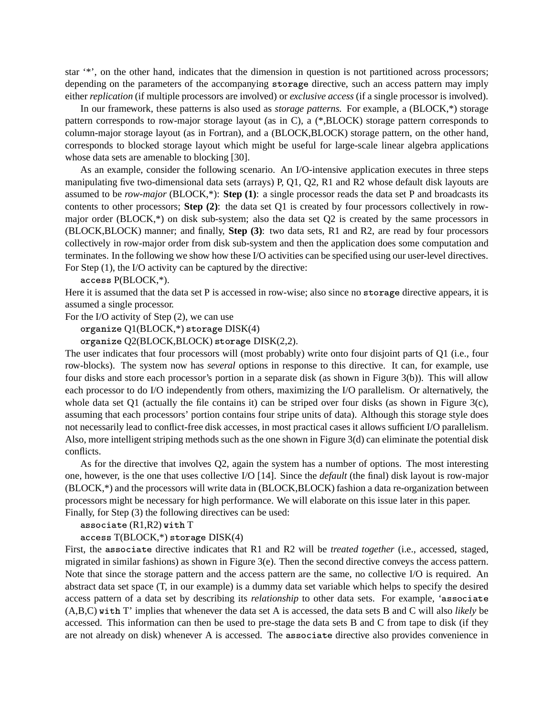star '\*', on the other hand, indicates that the dimension in question is not partitioned across processors; depending on the parameters of the accompanying storage directive, such an access pattern may imply either *replication* (if multiple processors are involved) or *exclusive access* (if a single processor is involved).

In our framework, these patterns is also used as *storage patterns.* For example, a (BLOCK,\*) storage pattern corresponds to row-major storage layout (as in C), a (\*,BLOCK) storage pattern corresponds to column-major storage layout (as in Fortran), and a (BLOCK,BLOCK) storage pattern, on the other hand, corresponds to blocked storage layout which might be useful for large-scale linear algebra applications whose data sets are amenable to blocking [30].

As an example, consider the following scenario. An I/O-intensive application executes in three steps manipulating five two-dimensional data sets (arrays) P, Q1, Q2, R1 and R2 whose default disk layouts are assumed to be *row-major* (BLOCK,\*): **Step (1)**: a single processor reads the data set P and broadcasts its contents to other processors; **Step (2)**: the data set Q1 is created by four processors collectively in rowmajor order (BLOCK,\*) on disk sub-system; also the data set Q2 is created by the same processors in (BLOCK,BLOCK) manner; and finally, **Step (3)**: two data sets, R1 and R2, are read by four processors collectively in row-major order from disk sub-system and then the application does some computation and terminates. In the following we show how these I/O activities can be specified using our user-level directives. For Step (1), the I/O activity can be captured by the directive:

 $access$  P(BLOCK, $*$ ).

Here it is assumed that the data set  $P$  is accessed in row-wise; also since no storage directive appears, it is assumed a single processor.

For the I/O activity of Step (2), we can use

organize  $Q1(BLOCK,*)$  storage  $DISK(4)$ 

organize  $Q2(BLOCK, BLOCK)$  storage  $DISK(2,2)$ .

The user indicates that four processors will (most probably) write onto four disjoint parts of Q1 (i.e., four row-blocks). The system now has *several* options in response to this directive. It can, for example, use four disks and store each processor's portion in a separate disk (as shown in Figure 3(b)). This will allow each processor to do I/O independently from others, maximizing the I/O parallelism. Or alternatively, the whole data set Q1 (actually the file contains it) can be striped over four disks (as shown in Figure 3(c), assuming that each processors' portion contains four stripe units of data). Although this storage style does not necessarily lead to conflict-free disk accesses, in most practical cases it allows sufficient I/O parallelism. Also, more intelligent striping methods such as the one shown in Figure 3(d) can eliminate the potential disk conflicts.

As for the directive that involves Q2, again the system has a number of options. The most interesting one, however, is the one that uses collective I/O [14]. Since the *default* (the final) disk layout is row-major (BLOCK,\*) and the processors will write data in (BLOCK,BLOCK) fashion a data re-organization between processors might be necessary for high performance. We will elaborate on this issue later in this paper. Finally, for Step (3) the following directives can be used:

associate  $(R1,R2)$  with T

 $access$  T(BLOCK,\*) storage DISK(4)

First, the associate directive indicates that R1 and R2 will be *treated together* (i.e., accessed, staged, migrated in similar fashions) as shown in Figure 3(e). Then the second directive conveys the access pattern. Note that since the storage pattern and the access pattern are the same, no collective I/O is required. An abstract data set space (T, in our example) is a dummy data set variable which helps to specify the desired access pattern of a data set by describing its *relationship* to other data sets. For example, 'associate'  $(A, B, C)$  with T' implies that whenever the data set A is accessed, the data sets B and C will also *likely* be accessed. This information can then be used to pre-stage the data sets B and C from tape to disk (if they are not already on disk) whenever A is accessed. The associate directive also provides convenience in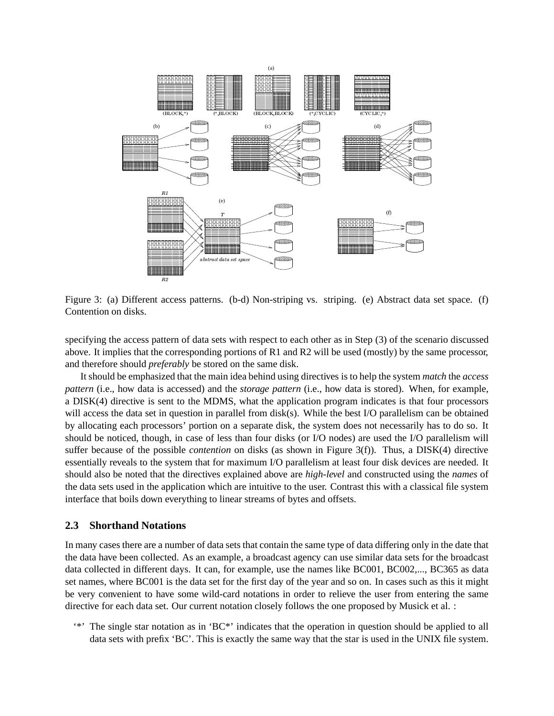

Figure 3: (a) Different access patterns. (b-d) Non-striping vs. striping. (e) Abstract data set space. (f) Contention on disks.

specifying the access pattern of data sets with respect to each other as in Step (3) of the scenario discussed above. It implies that the corresponding portions of R1 and R2 will be used (mostly) by the same processor, and therefore should *preferably* be stored on the same disk.

It should be emphasized that the main idea behind using directives is to help the system *match* the *access pattern* (i.e., how data is accessed) and the *storage pattern* (i.e., how data is stored). When, for example, a DISK(4) directive is sent to the MDMS, what the application program indicates is that four processors will access the data set in question in parallel from disk(s). While the best I/O parallelism can be obtained by allocating each processors' portion on a separate disk, the system does not necessarily has to do so. It should be noticed, though, in case of less than four disks (or I/O nodes) are used the I/O parallelism will suffer because of the possible *contention* on disks (as shown in Figure 3(f)). Thus, a DISK(4) directive essentially reveals to the system that for maximum I/O parallelism at least four disk devices are needed. It should also be noted that the directives explained above are *high-level* and constructed using the *names* of the data sets used in the application which are intuitive to the user. Contrast this with a classical file system interface that boils down everything to linear streams of bytes and offsets.

#### **2.3 Shorthand Notations**

In many cases there are a number of data sets that contain the same type of data differing only in the date that the data have been collected. As an example, a broadcast agency can use similar data sets for the broadcast data collected in different days. It can, for example, use the names like BC001, BC002,..., BC365 as data set names, where BC001 is the data set for the first day of the year and so on. In cases such as this it might be very convenient to have some wild-card notations in order to relieve the user from entering the same directive for each data set. Our current notation closely follows the one proposed by Musick et al. :

'\*' The single star notation as in 'BC\*' indicates that the operation in question should be applied to all data sets with prefix 'BC'. This is exactly the same way that the star is used in the UNIX file system.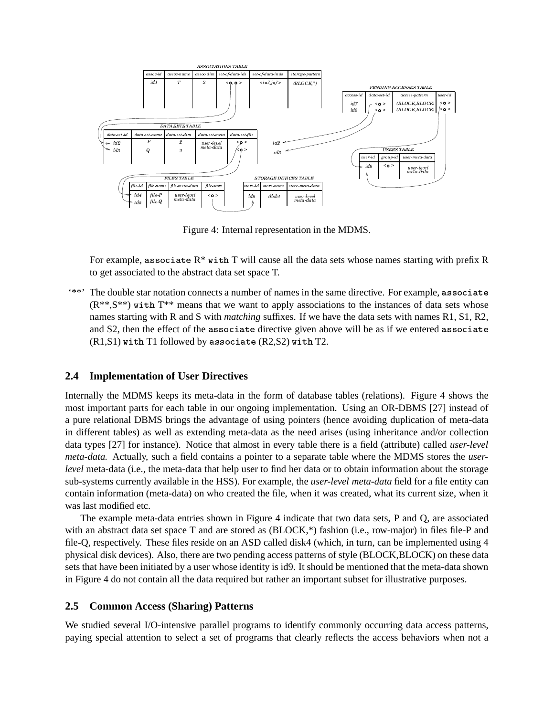

Figure 4: Internal representation in the MDMS.

For example, associate  $R^*$  with T will cause all the data sets whose names starting with prefix R to get associated to the abstract data set space T.

'\*\*' The double star notation connects a number of names in the same directive. For example, associate  $(R^{**},S^{**})$  with  $T^{**}$  means that we want to apply associations to the instances of data sets whose names starting with R and S with *matching* suffixes. If we have the data sets with names R1, S1, R2, and S2, then the effect of the associate directive given above will be as if we entered associate  $(R1, S1)$  with T1 followed by associate  $(R2, S2)$  with T2.

## **2.4 Implementation of User Directives**

Internally the MDMS keeps its meta-data in the form of database tables (relations). Figure 4 shows the most important parts for each table in our ongoing implementation. Using an OR-DBMS [27] instead of a pure relational DBMS brings the advantage of using pointers (hence avoiding duplication of meta-data in different tables) as well as extending meta-data as the need arises (using inheritance and/or collection data types [27] for instance). Notice that almost in every table there is a field (attribute) called *user-level meta-data*. Actually, such a field contains a pointer to a separate table where the MDMS stores the *userlevel* meta-data (i.e., the meta-data that help user to find her data or to obtain information about the storage sub-systems currently available in the HSS). For example, the *user-level meta-data* field for a file entity can contain information (meta-data) on who created the file, when it was created, what its current size, when it was last modified etc.

The example meta-data entries shown in Figure 4 indicate that two data sets, P and Q, are associated with an abstract data set space T and are stored as (BLOCK,\*) fashion (i.e., row-major) in files file-P and file-Q, respectively. These files reside on an ASD called disk4 (which, in turn, can be implemented using 4 physical disk devices). Also, there are two pending access patterns of style (BLOCK,BLOCK) on these data sets that have been initiated by a user whose identity is id9. It should be mentioned that the meta-data shown in Figure 4 do not contain all the data required but rather an important subset for illustrative purposes.

#### **2.5 Common Access (Sharing) Patterns**

We studied several I/O-intensive parallel programs to identify commonly occurring data access patterns, paying special attention to select a set of programs that clearly reflects the access behaviors when not a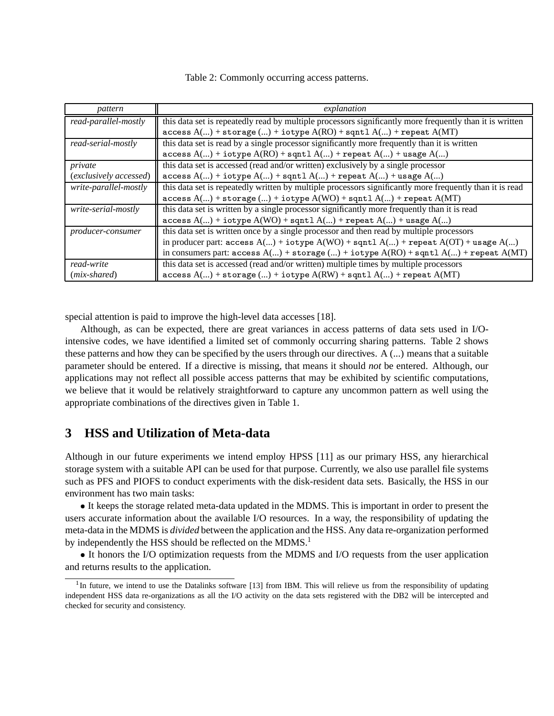| Table 2: Commonly occurring access patterns |  |  |
|---------------------------------------------|--|--|
|                                             |  |  |

| pattern                | explanation                                                                                                                          |
|------------------------|--------------------------------------------------------------------------------------------------------------------------------------|
| read-parallel-mostly   | this data set is repeatedly read by multiple processors significantly more frequently than it is written                             |
|                        | access $A()$ + storage $()$ + iotype $A(RO)$ + sqntl $A()$ + repeat $A(MT)$                                                          |
| read-serial-mostly     | this data set is read by a single processor significantly more frequently than it is written                                         |
|                        | access $A()$ + iotype $A(RO)$ + sqntl $A()$ + repeat $A()$ + usage $A()$                                                             |
| private                | this data set is accessed (read and/or written) exclusively by a single processor                                                    |
| (exclusively accessed) | $\texttt{access A}() + \texttt{iotype A}() + \texttt{sqrt1 A}() + \texttt{repeat A}() + \texttt{usage A}()$                          |
| write-parallel-mostly  | this data set is repeatedly written by multiple processors significantly more frequently than it is read                             |
|                        | access $A()$ + storage $()$ + iotype $A(WO)$ + sqntl $A()$ + repeat $A(MT)$                                                          |
| write-serial-mostly    | this data set is written by a single processor significantly more frequently than it is read                                         |
|                        | access $A()$ + iotype $A(WO)$ + sqntl $A()$ + repeat $A()$ + usage $A()$                                                             |
| producer-consumer      | this data set is written once by a single processor and then read by multiple processors                                             |
|                        | in producer part: $\text{access A}() + \text{iotype A}(\text{WO}) + \text{sqrt A}() + \text{repeat A}(\text{OT}) + \text{usage A}()$ |
|                        | in consumers part: $\text{access A}$ ) + $\text{storage}$ ) + $\text{iotype A}$ (RO) + $\text{sqrt A}$ ) + $\text{repeat A}$ (MT)    |
| read-write             | this data set is accessed (read and/or written) multiple times by multiple processors                                                |
| $(mix-shared)$         | $access A() + storage() + iotype A(RW) + sqrt A() + repeat A(MT)$                                                                    |

special attention is paid to improve the high-level data accesses [18].

Although, as can be expected, there are great variances in access patterns of data sets used in I/Ointensive codes, we have identified a limited set of commonly occurring sharing patterns. Table 2 shows these patterns and how they can be specified by the users through our directives. A (...) means that a suitable parameter should be entered. If a directive is missing, that means it should *not* be entered. Although, our applications may not reflect all possible access patterns that may be exhibited by scientific computations, we believe that it would be relatively straightforward to capture any uncommon pattern as well using the appropriate combinations of the directives given in Table 1.

## **3 HSS and Utilization of Meta-data**

Although in our future experiments we intend employ HPSS [11] as our primary HSS, any hierarchical storage system with a suitable API can be used for that purpose. Currently, we also use parallel file systems such as PFS and PIOFS to conduct experiments with the disk-resident data sets. Basically, the HSS in our environment has two main tasks:

^ It keeps the storage related meta-data updated in the MDMS. This is important in order to present the users accurate information about the available I/O resources. In a way, the responsibility of updating the meta-data in the MDMS is *divided* between the application and the HSS. Any data re-organization performed by independently the HSS should be reflected on the MDMS.<sup>1</sup>

^ It honors the I/O optimization requests from the MDMS and I/O requests from the user application and returns results to the application.

<sup>&</sup>lt;sup>1</sup>In future, we intend to use the Datalinks software [13] from IBM. This will relieve us from the responsibility of updating independent HSS data re-organizations as all the I/O activity on the data sets registered with the DB2 will be intercepted and checked for security and consistency.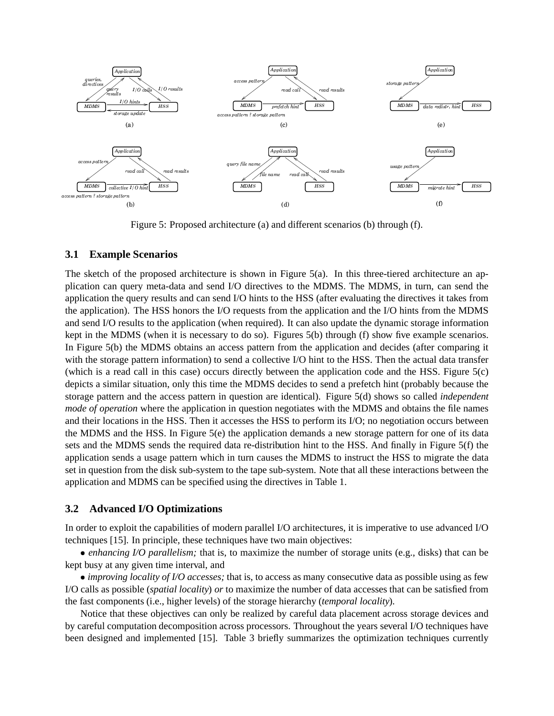

Figure 5: Proposed architecture (a) and different scenarios (b) through (f).

#### **3.1 Example Scenarios**

The sketch of the proposed architecture is shown in Figure 5(a). In this three-tiered architecture an application can query meta-data and send I/O directives to the MDMS. The MDMS, in turn, can send the application the query results and can send I/O hints to the HSS (after evaluating the directives it takes from the application). The HSS honors the I/O requests from the application and the I/O hints from the MDMS and send I/O results to the application (when required). It can also update the dynamic storage information kept in the MDMS (when it is necessary to do so). Figures 5(b) through (f) show five example scenarios. In Figure 5(b) the MDMS obtains an access pattern from the application and decides (after comparing it with the storage pattern information) to send a collective I/O hint to the HSS. Then the actual data transfer (which is a read call in this case) occurs directly between the application code and the HSS. Figure 5(c) depicts a similar situation, only this time the MDMS decides to send a prefetch hint (probably because the storage pattern and the access pattern in question are identical). Figure 5(d) shows so called *independent mode of operation* where the application in question negotiates with the MDMS and obtains the file names and their locations in the HSS. Then it accesses the HSS to perform its I/O; no negotiation occurs between the MDMS and the HSS. In Figure 5(e) the application demands a new storage pattern for one of its data sets and the MDMS sends the required data re-distribution hint to the HSS. And finally in Figure 5(f) the application sends a usage pattern which in turn causes the MDMS to instruct the HSS to migrate the data set in question from the disk sub-system to the tape sub-system. Note that all these interactions between the application and MDMS can be specified using the directives in Table 1.

#### **3.2 Advanced I/O Optimizations**

In order to exploit the capabilities of modern parallel I/O architectures, it is imperative to use advanced I/O techniques [15]. In principle, these techniques have two main objectives:

• *enhancing I/O parallelism;* that is, to maximize the number of storage units (e.g., disks) that can be kept busy at any given time interval, and

^ *improving locality of I/O accesses;* that is, to access as many consecutive data as possible using as few I/O calls as possible (*spatial locality*) *or* to maximize the number of data accesses that can be satisfied from the fast components (i.e., higher levels) of the storage hierarchy (*temporal locality*).

Notice that these objectives can only be realized by careful data placement across storage devices and by careful computation decomposition across processors. Throughout the years several I/O techniques have been designed and implemented [15]. Table 3 briefly summarizes the optimization techniques currently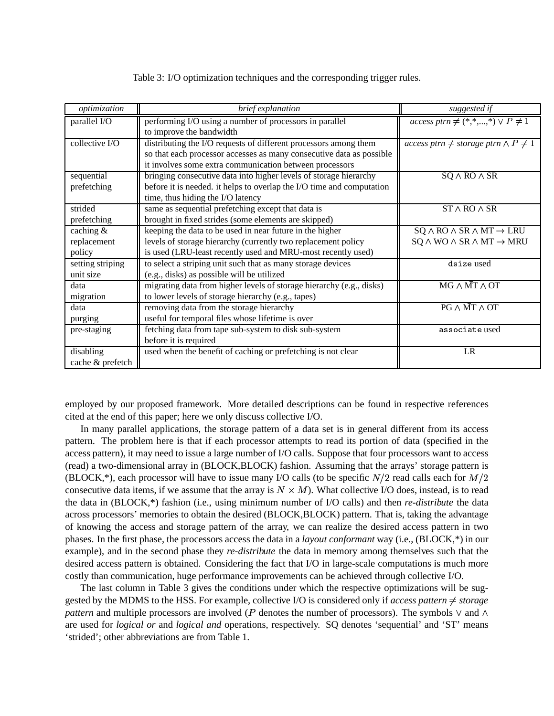| optimization     | brief explanation                                                            | suggested if                                        |
|------------------|------------------------------------------------------------------------------|-----------------------------------------------------|
| parallel I/O     | performing I/O using a number of processors in parallel                      | $access ptrn \neq (*, *, , *) \vee P \neq 1$        |
|                  | to improve the bandwidth                                                     |                                                     |
| collective I/O   | distributing the $\overline{IO}$ requests of different processors among them | access ptrn $\neq$ storage ptrn $\wedge$ $P \neq 1$ |
|                  | so that each processor accesses as many consecutive data as possible         |                                                     |
|                  | it involves some extra communication between processors                      |                                                     |
| sequential       | bringing consecutive data into higher levels of storage hierarchy            | $SQ \wedge RO \wedge SR$                            |
| prefetching      | before it is needed. it helps to overlap the I/O time and computation        |                                                     |
|                  | time, thus hiding the I/O latency                                            |                                                     |
| strided          | same as sequential prefetching except that data is                           | $ST \wedge RO \wedge SR$                            |
| prefetching      | brought in fixed strides (some elements are skipped)                         |                                                     |
| caching $&$      | keeping the data to be used in near future in the higher                     | $SQ \wedge RO \wedge SR \wedge MT \rightarrow LRU$  |
| replacement      | levels of storage hierarchy (currently two replacement policy                | $SQ \wedge WO \wedge SR \wedge MT \rightarrow MRU$  |
| policy           | is used (LRU-least recently used and MRU-most recently used)                 |                                                     |
| setting striping | to select a striping unit such that as many storage devices                  | dsize used                                          |
| unit size        | (e.g., disks) as possible will be utilized                                   |                                                     |
| data             | migrating data from higher levels of storage hierarchy (e.g., disks)         | $MG \wedge MT \wedge OT$                            |
| migration        | to lower levels of storage hierarchy (e.g., tapes)                           |                                                     |
| data             | removing data from the storage hierarchy                                     | $PG \wedge MT \wedge OT$                            |
| purging          | useful for temporal files whose lifetime is over                             |                                                     |
| pre-staging      | fetching data from tape sub-system to disk sub-system                        | associate used                                      |
|                  | before it is required                                                        |                                                     |
| disabling        | used when the benefit of caching or prefetching is not clear                 | LR                                                  |
| cache & prefetch |                                                                              |                                                     |

Table 3: I/O optimization techniques and the corresponding trigger rules.

employed by our proposed framework. More detailed descriptions can be found in respective references cited at the end of this paper; here we only discuss collective I/O.

In many parallel applications, the storage pattern of a data set is in general different from its access pattern. The problem here is that if each processor attempts to read its portion of data (specified in the access pattern), it may need to issue a large number of I/O calls. Suppose that four processors want to access (read) a two-dimensional array in (BLOCK,BLOCK) fashion. Assuming that the arrays' storage pattern is (BLOCK,\*), each processor will have to issue many I/O calls (to be specific  $N/2$  read calls each for  $M/2$ consecutive data items, if we assume that the array is  $N \times M$ ). What collective I/O does, instead, is to read the data in (BLOCK,\*) fashion (i.e., using minimum number of I/O calls) and then *re-distribute* the data across processors' memories to obtain the desired (BLOCK,BLOCK) pattern. That is, taking the advantage of knowing the access and storage pattern of the array, we can realize the desired access pattern in two phases. In the first phase, the processors access the data in a *layout conformant* way (i.e., (BLOCK,\*) in our example), and in the second phase they *re-distribute* the data in memory among themselves such that the desired access pattern is obtained. Considering the fact that I/O in large-scale computations is much more costly than communication, huge performance improvements can be achieved through collective I/O.

The last column in Table 3 gives the conditions under which the respective optimizations will be suggested by the MDMS to the HSS. For example, collective I/O is considered only if *access pattern storage pattern* and multiple processors are involved (P denotes the number of processors). The symbols  $\vee$  and  $\wedge$ are used for *logical or* and *logical and* operations, respectively. SQ denotes 'sequential' and 'ST' means 'strided'; other abbreviations are from Table 1.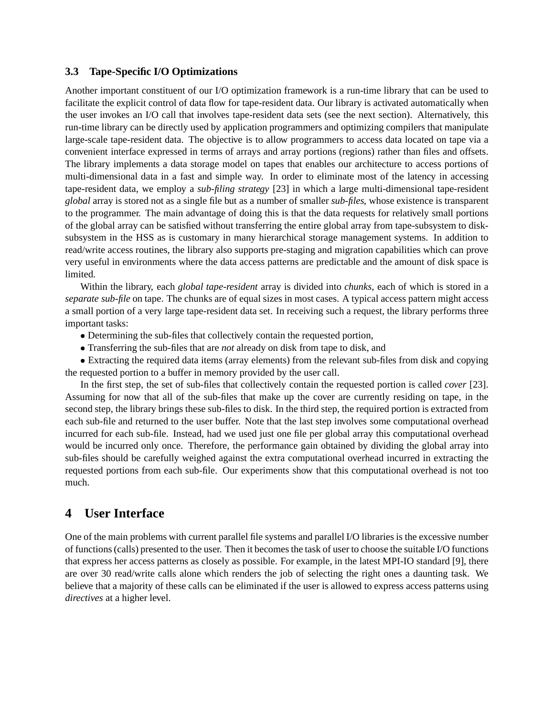### **3.3 Tape-Specific I/O Optimizations**

Another important constituent of our I/O optimization framework is a run-time library that can be used to facilitate the explicit control of data flow for tape-resident data. Our library is activated automatically when the user invokes an I/O call that involves tape-resident data sets (see the next section). Alternatively, this run-time library can be directly used by application programmers and optimizing compilers that manipulate large-scale tape-resident data. The objective is to allow programmers to access data located on tape via a convenient interface expressed in terms of arrays and array portions (regions) rather than files and offsets. The library implements a data storage model on tapes that enables our architecture to access portions of multi-dimensional data in a fast and simple way. In order to eliminate most of the latency in accessing tape-resident data, we employ a *sub-filing strategy* [23] in which a large multi-dimensional tape-resident *global* array is stored not as a single file but as a number of smaller *sub-files*, whose existence is transparent to the programmer. The main advantage of doing this is that the data requests for relatively small portions of the global array can be satisfied without transferring the entire global array from tape-subsystem to disksubsystem in the HSS as is customary in many hierarchical storage management systems. In addition to read/write access routines, the library also supports pre-staging and migration capabilities which can prove very useful in environments where the data access patterns are predictable and the amount of disk space is limited.

Within the library, each *global tape-resident* array is divided into *chunks,* each of which is stored in a *separate sub-file* on tape. The chunks are of equal sizes in most cases. A typical access pattern might access a small portion of a very large tape-resident data set. In receiving such a request, the library performs three important tasks:

- ^ Determining the sub-files that collectively contain the requested portion,
- ^ Transferring the sub-files that are *not* already on disk from tape to disk, and

^ Extracting the required data items (array elements) from the relevant sub-files from disk and copying the requested portion to a buffer in memory provided by the user call.

In the first step, the set of sub-files that collectively contain the requested portion is called *cover* [23]. Assuming for now that all of the sub-files that make up the cover are currently residing on tape, in the second step, the library brings these sub-files to disk. In the third step, the required portion is extracted from each sub-file and returned to the user buffer. Note that the last step involves some computational overhead incurred for each sub-file. Instead, had we used just one file per global array this computational overhead would be incurred only once. Therefore, the performance gain obtained by dividing the global array into sub-files should be carefully weighed against the extra computational overhead incurred in extracting the requested portions from each sub-file. Our experiments show that this computational overhead is not too much.

## **4 User Interface**

One of the main problems with current parallel file systems and parallel I/O libraries is the excessive number of functions(calls) presented to the user. Then it becomesthe task of user to choose the suitable I/O functions that express her access patterns as closely as possible. For example, in the latest MPI-IO standard [9], there are over 30 read/write calls alone which renders the job of selecting the right ones a daunting task. We believe that a majority of these calls can be eliminated if the user is allowed to express access patterns using *directives* at a higher level.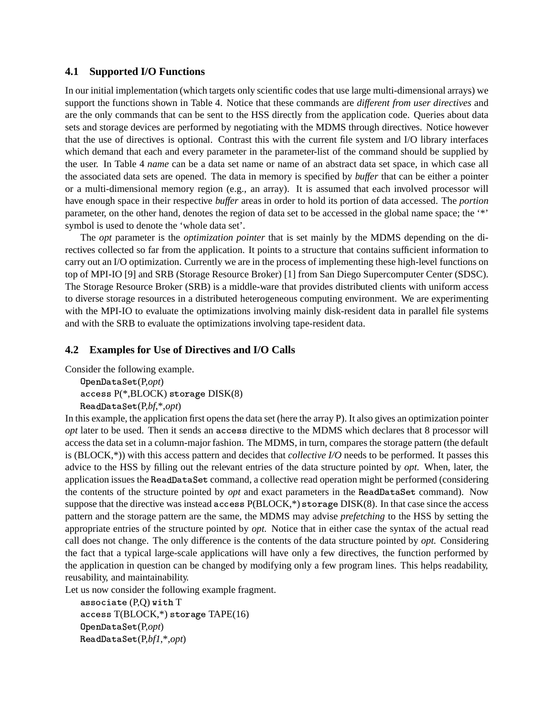#### **4.1 Supported I/O Functions**

In our initial implementation (which targets only scientific codes that use large multi-dimensional arrays) we support the functions shown in Table 4. Notice that these commands are *different from user directives* and are the only commands that can be sent to the HSS directly from the application code. Queries about data sets and storage devices are performed by negotiating with the MDMS through directives. Notice however that the use of directives is optional. Contrast this with the current file system and I/O library interfaces which demand that each and every parameter in the parameter-list of the command should be supplied by the user. In Table 4 *name* can be a data set name or name of an abstract data set space, in which case all the associated data sets are opened. The data in memory is specified by *buffer* that can be either a pointer or a multi-dimensional memory region (e.g., an array). It is assumed that each involved processor will have enough space in their respective *buffer* areas in order to hold its portion of data accessed. The *portion* parameter, on the other hand, denotes the region of data set to be accessed in the global name space; the '\*' symbol is used to denote the 'whole data set'.

The *opt* parameter is the *optimization pointer* that is set mainly by the MDMS depending on the directives collected so far from the application. It points to a structure that contains sufficient information to carry out an I/O optimization. Currently we are in the process of implementing these high-level functions on top of MPI-IO [9] and SRB (Storage Resource Broker) [1] from San Diego Supercomputer Center (SDSC). The Storage Resource Broker (SRB) is a middle-ware that provides distributed clients with uniform access to diverse storage resources in a distributed heterogeneous computing environment. We are experimenting with the MPI-IO to evaluate the optimizations involving mainly disk-resident data in parallel file systems and with the SRB to evaluate the optimizations involving tape-resident data.

#### **4.2 Examples for Use of Directives and I/O Calls**

Consider the following example.

```
OpenDataSet(P, opt)access P(*,BLOCK) storage DISK(8)\texttt{ReadDataSet}(P, \mathit{bf},*, \mathit{opt})
```
In this example, the application first opens the data set (here the array P). It also gives an optimization pointer *opt* later to be used. Then it sends an access directive to the MDMS which declares that 8 processor will access the data set in a column-major fashion. The MDMS, in turn, compares the storage pattern (the default is (BLOCK,\*)) with this access pattern and decides that *collective I/O* needs to be performed. It passes this advice to the HSS by filling out the relevant entries of the data structure pointed by *opt*. When, later, the application issues the ReadDataSet command, a collective read operation might be performed (considering the contents of the structure pointed by *opt* and exact parameters in the ReadDataSet command). Now suppose that the directive was instead  $access$   $P(BLOCAL,*)$  storage  $DISK(8)$ . In that case since the access pattern and the storage pattern are the same, the MDMS may advise *prefetching* to the HSS by setting the appropriate entries of the structure pointed by *opt*. Notice that in either case the syntax of the actual read call does not change. The only difference is the contents of the data structure pointed by *opt*. Considering the fact that a typical large-scale applications will have only a few directives, the function performed by the application in question can be changed by modifying only a few program lines. This helps readability, reusability, and maintainability.

Let us now consider the following example fragment.

```
associate (P,Q) with Taccess T(BLOCK,*) storage TAPE(16)
OpenDataSet(P,opt)
\texttt{ReadDataSet}(P,bf1,*,opt)
```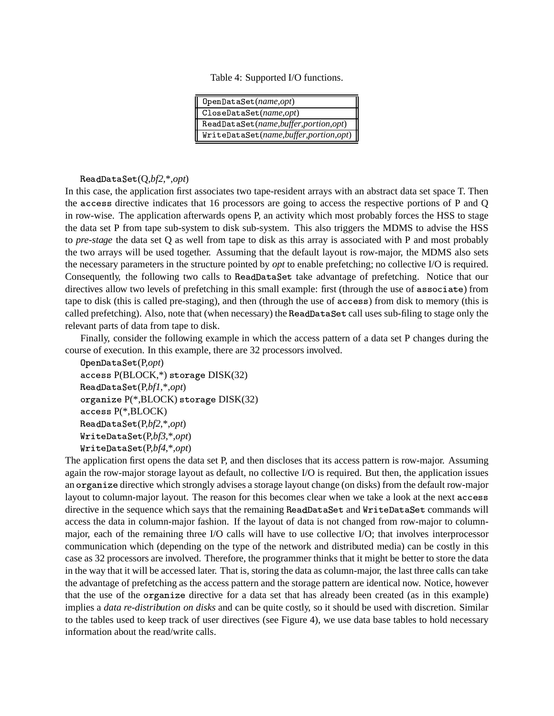Table 4: Supported I/O functions.

| OpenDataSet(name,opt)                 |
|---------------------------------------|
| CloseDataSet(name, opt)               |
| ReadDataSet(name,buffer,portion,opt)  |
| WriteDataSet(name,buffer,portion,opt) |

 $\texttt{ReadDataSet}(Q,\!bf\mathit{f2},\!*,\!opt)$ 

In this case, the application first associates two tape-resident arrays with an abstract data set space T. Then the access directive indicates that 16 processors are going to access the respective portions of P and Q in row-wise. The application afterwards opens P, an activity which most probably forces the HSS to stage the data set P from tape sub-system to disk sub-system. This also triggers the MDMS to advise the HSS to *pre-stage* the data set Q as well from tape to disk as this array is associated with P and most probably the two arrays will be used together. Assuming that the default layout is row-major, the MDMS also sets the necessary parameters in the structure pointed by *opt* to enable prefetching; no collective I/O is required. Consequently, the following two calls to ReadDataSet take advantage of prefetching. Notice that our directives allow two levels of prefetching in this small example: first (through the use of associate) from tape to disk (this is called pre-staging), and then (through the use of access) from disk to memory (this is called prefetching). Also, note that (when necessary) the ReadDataSet call uses sub-filing to stage only the relevant parts of data from tape to disk.

Finally, consider the following example in which the access pattern of a data set P changes during the course of execution. In this example, there are 32 processors involved.

 $OpenDataSet(P, opt)$  $access$ P(BLOCK,\*) storage DISK(32)  $\texttt{ReadDataSet}(P,bf1,*,opt)$ organize  $P(*,BLOCK)$  storage  $DISK(32)$  $access P(*, BLOCK)$  $\texttt{ReadDataSet}(P,bf2,*,opt)$  $WriteDataSet(P,bf3,*, opt)$  $WriteDataSet(P,bf4,*, opt)$ 

The application first opens the data set P, and then discloses that its access pattern is row-major. Assuming again the row-major storage layout as default, no collective I/O is required. But then, the application issues an organize directive which strongly advises a storage layout change (on disks) from the default row-major layout to column-major layout. The reason for this becomes clear when we take a look at the next access directive in the sequence which says that the remaining ReadDataSet and WriteDataSet commands will access the data in column-major fashion. If the layout of data is not changed from row-major to columnmajor, each of the remaining three I/O calls will have to use collective I/O; that involves interprocessor communication which (depending on the type of the network and distributed media) can be costly in this case as 32 processors are involved. Therefore, the programmer thinks that it might be better to store the data in the way that it will be accessed later. That is, storing the data as column-major, the last three calls can take the advantage of prefetching as the access pattern and the storage pattern are identical now. Notice, however that the use of the organize directive for a data set that has already been created (as in this example) implies a *data re-distribution on disks* and can be quite costly, so it should be used with discretion. Similar to the tables used to keep track of user directives (see Figure 4), we use data base tables to hold necessary information about the read/write calls.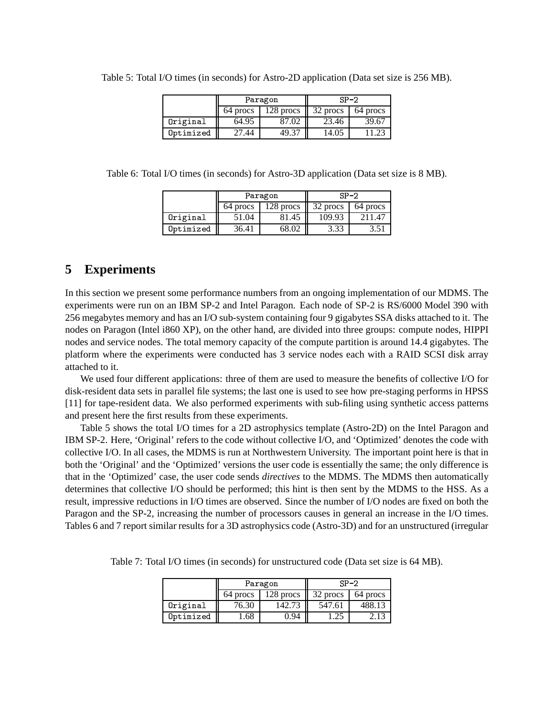|           | Paragon<br>128 procs<br>64 procs |  | $SP-2$   |          |
|-----------|----------------------------------|--|----------|----------|
|           |                                  |  | 32 procs | 64 procs |
| Original  | 64.95                            |  | 23.46    | 39.67    |
| Optimized | 7 44                             |  | 14.05    |          |

Table 5: Total I/O times (in seconds) for Astro-2D application (Data set size is 256 MB).

Table 6: Total I/O times (in seconds) for Astro-3D application (Data set size is 8 MB).

|           |          | Paragon   | $SP-2$   |          |
|-----------|----------|-----------|----------|----------|
|           | 64 procs | 128 procs | 32 procs | 64 procs |
| Original  | 51.04    | 81.45     | 109.93   |          |
| Optimized | 36.41    |           | 3.33     | 3.51     |

## **5 Experiments**

In this section we present some performance numbers from an ongoing implementation of our MDMS. The experiments were run on an IBM SP-2 and Intel Paragon. Each node of SP-2 is RS/6000 Model 390 with 256 megabytes memory and has an I/O sub-system containing four 9 gigabytes SSA disks attached to it. The nodes on Paragon (Intel i860 XP), on the other hand, are divided into three groups: compute nodes, HIPPI nodes and service nodes. The total memory capacity of the compute partition is around 14.4 gigabytes. The platform where the experiments were conducted has 3 service nodes each with a RAID SCSI disk array attached to it.

We used four different applications: three of them are used to measure the benefits of collective I/O for disk-resident data sets in parallel file systems; the last one is used to see how pre-staging performs in HPSS [11] for tape-resident data. We also performed experiments with sub-filing using synthetic access patterns and present here the first results from these experiments.

Table 5 shows the total I/O times for a 2D astrophysics template (Astro-2D) on the Intel Paragon and IBM SP-2. Here, 'Original' refers to the code without collective I/O, and 'Optimized' denotes the code with collective I/O. In all cases, the MDMS is run at Northwestern University. The important point here is that in both the 'Original' and the 'Optimized' versions the user code is essentially the same; the only difference is that in the 'Optimized' case, the user code sends *directives* to the MDMS. The MDMS then automatically determines that collective I/O should be performed; this hint is then sent by the MDMS to the HSS. As a result, impressive reductions in I/O times are observed. Since the number of I/O nodes are fixed on both the Paragon and the SP-2, increasing the number of processors causes in general an increase in the I/O times. Tables 6 and 7 report similar results for a 3D astrophysics code (Astro-3D) and for an unstructured (irregular

Table 7: Total I/O times (in seconds) for unstructured code (Data set size is 64 MB).

|           |                       | Paragon | $SP-2$   |          |
|-----------|-----------------------|---------|----------|----------|
|           | 128 procs<br>64 procs |         | 32 procs | 64 procs |
| Original  | 76.30                 | 142.73  | 547.61   |          |
| Optimized | .68                   | በ 94    |          |          |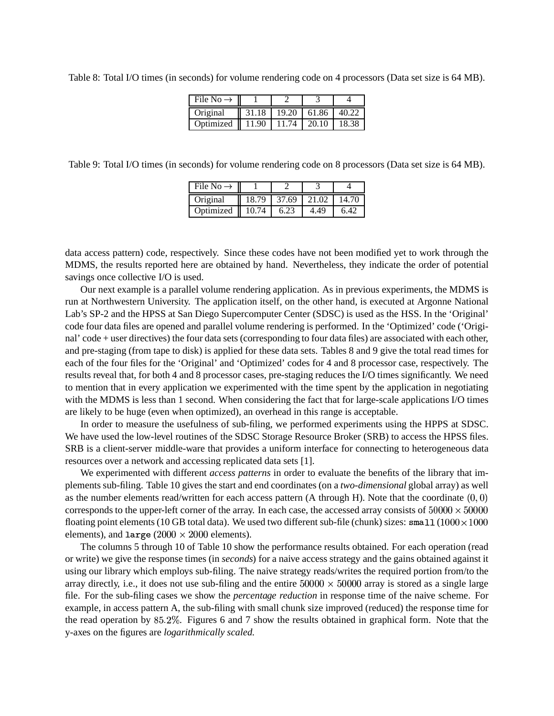| File No $\rightarrow$ |       |                   |       |
|-----------------------|-------|-------------------|-------|
| Original              | 31.18 | $19.20 \pm 61.86$ | 40.22 |
| Optimized             | 11.90 | $11.74 \pm 20.10$ | 18.38 |

Table 8: Total I/O times (in seconds) for volume rendering code on 4 processors (Data set size is 64 MB).

Table 9: Total I/O times (in seconds) for volume rendering code on 8 processors (Data set size is 64 MB).

| File No $\rightarrow$ |       |                   |      |       |  |
|-----------------------|-------|-------------------|------|-------|--|
| Original              |       | 18.79 37.69 21.02 |      | 14.70 |  |
| Optimized II          | 10.74 | 6.23              | 4.49 | 6.42  |  |

data access pattern) code, respectively. Since these codes have not been modified yet to work through the MDMS, the results reported here are obtained by hand. Nevertheless, they indicate the order of potential savings once collective I/O is used.

Our next example is a parallel volume rendering application. As in previous experiments, the MDMS is run at Northwestern University. The application itself, on the other hand, is executed at Argonne National Lab's SP-2 and the HPSS at San Diego Supercomputer Center (SDSC) is used as the HSS. In the 'Original' code four data files are opened and parallel volume rendering is performed. In the 'Optimized' code ('Original' code + user directives) the four data sets (corresponding to four data files) are associated with each other, and pre-staging (from tape to disk) is applied for these data sets. Tables 8 and 9 give the total read times for each of the four files for the 'Original' and 'Optimized' codes for 4 and 8 processor case, respectively. The results reveal that, for both 4 and 8 processor cases, pre-staging reduces the I/O times significantly. We need to mention that in every application we experimented with the time spent by the application in negotiating with the MDMS is less than 1 second. When considering the fact that for large-scale applications I/O times are likely to be huge (even when optimized), an overhead in this range is acceptable.

In order to measure the usefulness of sub-filing, we performed experiments using the HPPS at SDSC. We have used the low-level routines of the SDSC Storage Resource Broker (SRB) to access the HPSS files. SRB is a client-server middle-ware that provides a uniform interface for connecting to heterogeneous data resources over a network and accessing replicated data sets [1].

We experimented with different *access patterns* in order to evaluate the benefits of the library that implements sub-filing. Table 10 gives the start and end coordinates (on a *two-dimensional* global array) as well as the number elements read/written for each access pattern (A through H). Note that the coordinate  $(0,0)$ corresponds to the upper-left corner of the array. In each case, the accessed array consists of  $50000 \times 50000$ floating point elements (10 GB total data). We used two different sub-file (chunk) sizes:  $\texttt{small}(1000\times1000)$ elements), and  $l\text{arge}$  (2000  $\times$  2000 elements).

The columns 5 through 10 of Table 10 show the performance results obtained. For each operation (read or write) we give the response times (in *seconds*) for a naive access strategy and the gains obtained against it using our library which employs sub-filing. The naive strategy reads/writes the required portion from/to the array directly, i.e., it does not use sub-filing and the entire  $50000 \times 50000$  array is stored as a single large file. For the sub-filing cases we show the *percentage reduction* in response time of the naive scheme. For example, in access pattern A, the sub-filing with small chunk size improved (reduced) the response time for the read operation by  $85.2\%$ . Figures 6 and 7 show the results obtained in graphical form. Note that the y-axes on the figures are *logarithmically scaled.*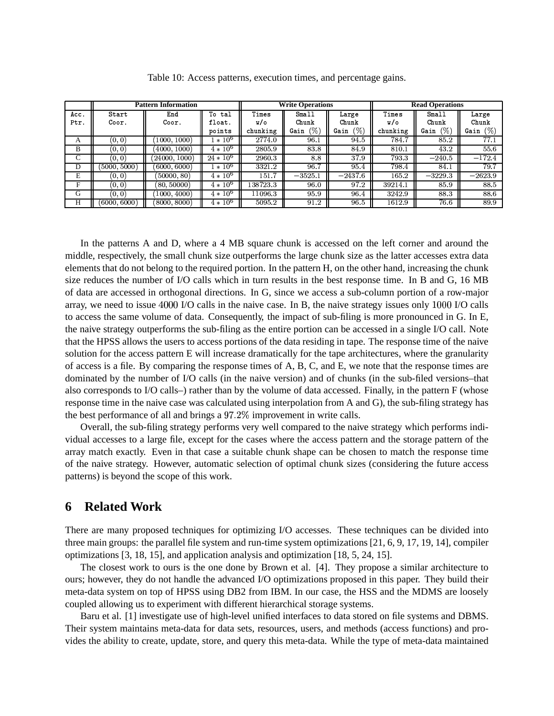|      | <b>Pattern Information</b> |              |               |          | <b>Write Operations</b> |              |          | <b>Read Operations</b> |             |
|------|----------------------------|--------------|---------------|----------|-------------------------|--------------|----------|------------------------|-------------|
| Acc. | Start                      | End          | To tal        | Times    | Small                   | Large        | Times    | Small                  | Large       |
| Ptr. | Coor.                      | Coor.        | float.        | w/o      | Chunk                   | Chunk        | w/o      | Chunk                  | Chunk       |
|      |                            |              | points        | chunking | (%<br>Gain              | (% )<br>Gain | chunking | Gain $(\%)$            | Gain $(\%)$ |
| A    | (0,0)                      | 1000, 1000)  | $4*10^6$      | 2774.0   | 96.1                    | 94.5         | 784.7    | 85.2                   | 77.1        |
| B    | (0,0)                      | (4000, 1000) | $4 * 10^{6}$  | 2805.9   | 83.8                    | 84.9         | 810.1    | 43.2                   | 55.6        |
| C    | (0,0)                      | 24000.1000)  | $24 * 10^{6}$ | 2960.3   | 8.8                     | 37.9         | 793.3    | $-240.5$               | $-172.4$    |
| D    | (5000,5000)                | (6000, 6000) | $1*10^6$      | 3321.2   | 96.7                    | 95.4         | 798.4    | 84.1                   | 79.7        |
| E    | (0,0)                      | (50000, 80)  | $4 * 10^{6}$  | 151.7    | $-3525.1$               | $-2437.6$    | 165.2    | $-3229.3$              | $-2623.9$   |
| F    | (0, 0)                     | (80, 50000)  | $4 * 10^6$    | 138723.3 | 96.0                    | 97.2         | 39214.1  | 85.9                   | 88.5        |
| G    | (0, 0)                     | 1000, 4000)  | $4 * 10^{6}$  | 11096.3  | 95.9                    | 96.4         | 3242.9   | 88.3                   | 88.6        |
| Н    | (6000,6000)                | (8000, 8000) | $4 * 10^{6}$  | 5095.2   | 91.2                    | 96.5         | 1612.9   | 76.6                   | 89.9        |

Table 10: Access patterns, execution times, and percentage gains.

In the patterns A and D, where a 4 MB square chunk is accessed on the left corner and around the middle, respectively, the small chunk size outperforms the large chunk size as the latter accesses extra data elements that do not belong to the required portion. In the pattern H, on the other hand, increasing the chunk size reduces the number of I/O calls which in turn results in the best response time. In B and G, 16 MB of data are accessed in orthogonal directions. In G, since we access a sub-column portion of a row-major array, we need to issue  $4000$  I/O calls in the naive case. In B, the naive strategy issues only 1000 I/O calls to access the same volume of data. Consequently, the impact of sub-filing is more pronounced in G. In E, the naive strategy outperforms the sub-filing as the entire portion can be accessed in a single I/O call. Note that the HPSS allows the users to access portions of the data residing in tape. The response time of the naive solution for the access pattern E will increase dramatically for the tape architectures, where the granularity of access is a file. By comparing the response times of A, B, C, and E, we note that the response times are dominated by the number of I/O calls (in the naive version) and of chunks (in the sub-filed versions–that also corresponds to I/O calls–) rather than by the volume of data accessed. Finally, in the pattern F (whose response time in the naive case was calculated using interpolation from A and G), the sub-filing strategy has the best performance of all and brings a  $97.2\%$  improvement in write calls.

Overall, the sub-filing strategy performs very well compared to the naive strategy which performs individual accesses to a large file, except for the cases where the access pattern and the storage pattern of the array match exactly. Even in that case a suitable chunk shape can be chosen to match the response time of the naive strategy. However, automatic selection of optimal chunk sizes (considering the future access patterns) is beyond the scope of this work.

## **6 Related Work**

There are many proposed techniques for optimizing I/O accesses. These techniques can be divided into three main groups: the parallel file system and run-time system optimizations [21, 6, 9, 17, 19, 14], compiler optimizations [3, 18, 15], and application analysis and optimization [18, 5, 24, 15].

The closest work to ours is the one done by Brown et al. [4]. They propose a similar architecture to ours; however, they do not handle the advanced I/O optimizations proposed in this paper. They build their meta-data system on top of HPSS using DB2 from IBM. In our case, the HSS and the MDMS are loosely coupled allowing us to experiment with different hierarchical storage systems.

Baru et al. [1] investigate use of high-level unified interfaces to data stored on file systems and DBMS. Their system maintains meta-data for data sets, resources, users, and methods (access functions) and provides the ability to create, update, store, and query this meta-data. While the type of meta-data maintained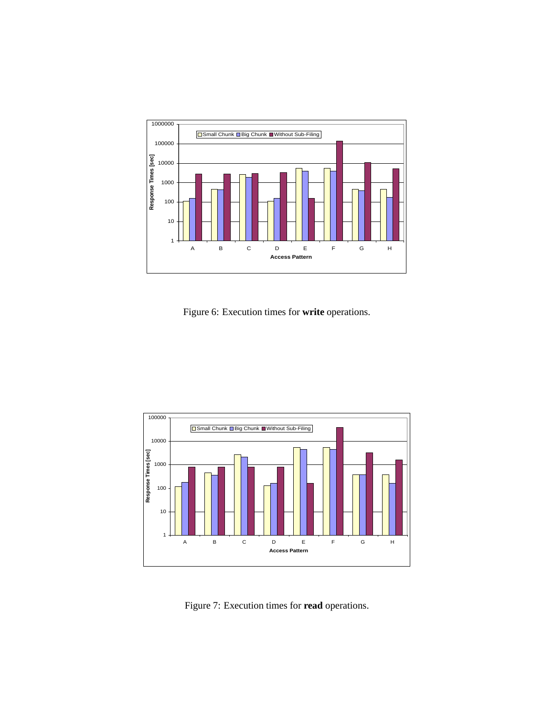

Figure 6: Execution times for **write** operations.



Figure 7: Execution times for **read** operations.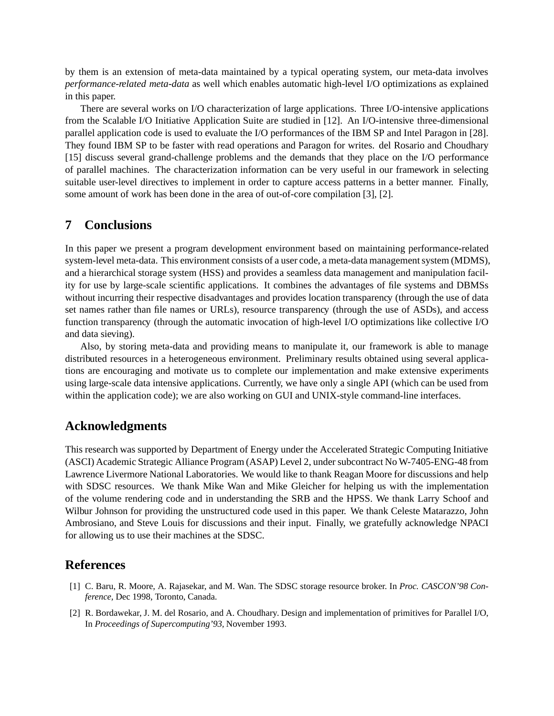by them is an extension of meta-data maintained by a typical operating system, our meta-data involves *performance-related meta-data* as well which enables automatic high-level I/O optimizations as explained in this paper.

There are several works on I/O characterization of large applications. Three I/O-intensive applications from the Scalable I/O Initiative Application Suite are studied in [12]. An I/O-intensive three-dimensional parallel application code is used to evaluate the I/O performances of the IBM SP and Intel Paragon in [28]. They found IBM SP to be faster with read operations and Paragon for writes. del Rosario and Choudhary [15] discuss several grand-challenge problems and the demands that they place on the I/O performance of parallel machines. The characterization information can be very useful in our framework in selecting suitable user-level directives to implement in order to capture access patterns in a better manner. Finally, some amount of work has been done in the area of out-of-core compilation [3], [2].

## **7 Conclusions**

In this paper we present a program development environment based on maintaining performance-related system-level meta-data. This environment consists of a user code, a meta-data management system (MDMS), and a hierarchical storage system (HSS) and provides a seamless data management and manipulation facility for use by large-scale scientific applications. It combines the advantages of file systems and DBMSs without incurring their respective disadvantages and provides location transparency (through the use of data set names rather than file names or URLs), resource transparency (through the use of ASDs), and access function transparency (through the automatic invocation of high-level I/O optimizations like collective I/O and data sieving).

Also, by storing meta-data and providing means to manipulate it, our framework is able to manage distributed resources in a heterogeneous environment. Preliminary results obtained using several applications are encouraging and motivate us to complete our implementation and make extensive experiments using large-scale data intensive applications. Currently, we have only a single API (which can be used from within the application code); we are also working on GUI and UNIX-style command-line interfaces.

## **Acknowledgments**

This research was supported by Department of Energy under the Accelerated Strategic Computing Initiative (ASCI) Academic Strategic Alliance Program (ASAP) Level 2, under subcontract No W-7405-ENG-48 from Lawrence Livermore National Laboratories. We would like to thank Reagan Moore for discussions and help with SDSC resources. We thank Mike Wan and Mike Gleicher for helping us with the implementation of the volume rendering code and in understanding the SRB and the HPSS. We thank Larry Schoof and Wilbur Johnson for providing the unstructured code used in this paper. We thank Celeste Matarazzo, John Ambrosiano, and Steve Louis for discussions and their input. Finally, we gratefully acknowledge NPACI for allowing us to use their machines at the SDSC.

## **References**

- [1] C. Baru, R. Moore, A. Rajasekar, and M. Wan. The SDSC storage resource broker. In *Proc. CASCON'98 Conference,* Dec 1998, Toronto, Canada.
- [2] R. Bordawekar, J. M. del Rosario, and A. Choudhary. Design and implementation of primitives for Parallel I/O, In *Proceedings of Supercomputing'93,* November 1993.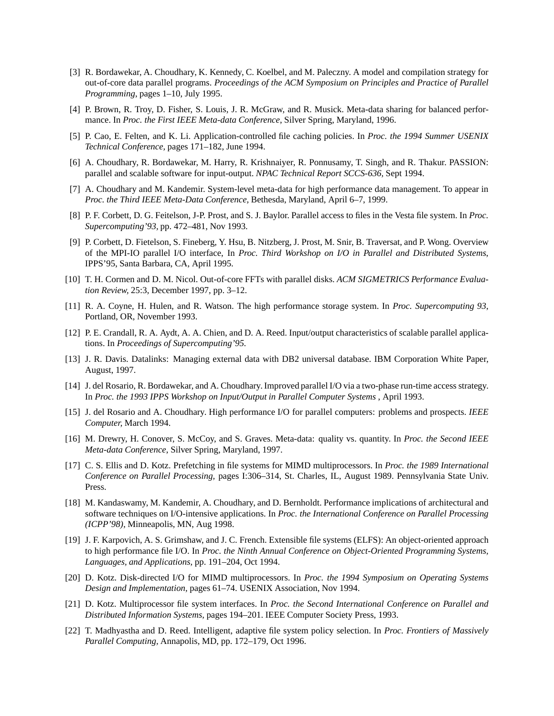- [3] R. Bordawekar, A. Choudhary, K. Kennedy, C. Koelbel, and M. Paleczny. A model and compilation strategy for out-of-core data parallel programs. *Proceedings of the ACM Symposium on Principles and Practice of Parallel Programming*, pages 1–10, July 1995.
- [4] P. Brown, R. Troy, D. Fisher, S. Louis, J. R. McGraw, and R. Musick. Meta-data sharing for balanced performance. In *Proc. the First IEEE Meta-data Conference*, Silver Spring, Maryland, 1996.
- [5] P. Cao, E. Felten, and K. Li. Application-controlled file caching policies. In *Proc. the 1994 Summer USENIX Technical Conference,* pages 171–182, June 1994.
- [6] A. Choudhary, R. Bordawekar, M. Harry, R. Krishnaiyer, R. Ponnusamy, T. Singh, and R. Thakur. PASSION: parallel and scalable software for input-output. *NPAC Technical Report SCCS-636,* Sept 1994.
- [7] A. Choudhary and M. Kandemir. System-level meta-data for high performance data management. To appear in *Proc. the Third IEEE Meta-Data Conference,* Bethesda, Maryland, April 6–7, 1999.
- [8] P. F. Corbett, D. G. Feitelson, J-P. Prost, and S. J. Baylor. Parallel access to files in the Vesta file system. In *Proc. Supercomputing'93,* pp. 472–481, Nov 1993.
- [9] P. Corbett, D. Fietelson, S. Fineberg, Y. Hsu, B. Nitzberg, J. Prost, M. Snir, B. Traversat, and P. Wong. Overview of the MPI-IO parallel I/O interface, In *Proc. Third Workshop on I/O in Parallel and Distributed Systems*, IPPS'95, Santa Barbara, CA, April 1995.
- [10] T. H. Cormen and D. M. Nicol. Out-of-core FFTs with parallel disks. *ACM SIGMETRICS Performance Evaluation Review,* 25:3, December 1997, pp. 3–12.
- [11] R. A. Coyne, H. Hulen, and R. Watson. The high performance storage system. In *Proc. Supercomputing 93*, Portland, OR, November 1993.
- [12] P. E. Crandall, R. A. Aydt, A. A. Chien, and D. A. Reed. Input/output characteristics of scalable parallel applications. In *Proceedings of Supercomputing'95.*
- [13] J. R. Davis. Datalinks: Managing external data with DB2 universal database. IBM Corporation White Paper, August, 1997.
- [14] J. del Rosario, R. Bordawekar, and A. Choudhary.Improved parallel I/O via a two-phase run-time accessstrategy. In *Proc. the 1993 IPPS Workshop on Input/Output in Parallel Computer Systems* , April 1993.
- [15] J. del Rosario and A. Choudhary. High performance I/O for parallel computers: problems and prospects. *IEEE Computer,* March 1994.
- [16] M. Drewry, H. Conover, S. McCoy, and S. Graves. Meta-data: quality vs. quantity. In *Proc. the Second IEEE Meta-data Conference*, Silver Spring, Maryland, 1997.
- [17] C. S. Ellis and D. Kotz. Prefetching in file systems for MIMD multiprocessors. In *Proc. the 1989 International Conference on Parallel Processing,* pages I:306–314, St. Charles, IL, August 1989. Pennsylvania State Univ. Press.
- [18] M. Kandaswamy, M. Kandemir, A. Choudhary, and D. Bernholdt. Performance implications of architectural and software techniques on I/O-intensive applications. In *Proc. the International Conference on Parallel Processing (ICPP'98)*, Minneapolis, MN, Aug 1998.
- [19] J. F. Karpovich, A. S. Grimshaw, and J. C. French. Extensible file systems (ELFS): An object-oriented approach to high performance file I/O. In *Proc. the Ninth Annual Conference on Object-Oriented Programming Systems, Languages, and Applications,* pp. 191–204, Oct 1994.
- [20] D. Kotz. Disk-directed I/O for MIMD multiprocessors. In *Proc. the 1994 Symposium on Operating Systems Design and Implementation,* pages 61–74. USENIX Association, Nov 1994.
- [21] D. Kotz. Multiprocessor file system interfaces. In *Proc. the Second International Conference on Parallel and Distributed Information Systems,* pages 194–201. IEEE Computer Society Press, 1993.
- [22] T. Madhyastha and D. Reed. Intelligent, adaptive file system policy selection. In *Proc. Frontiers of Massively Parallel Computing,* Annapolis, MD, pp. 172–179, Oct 1996.